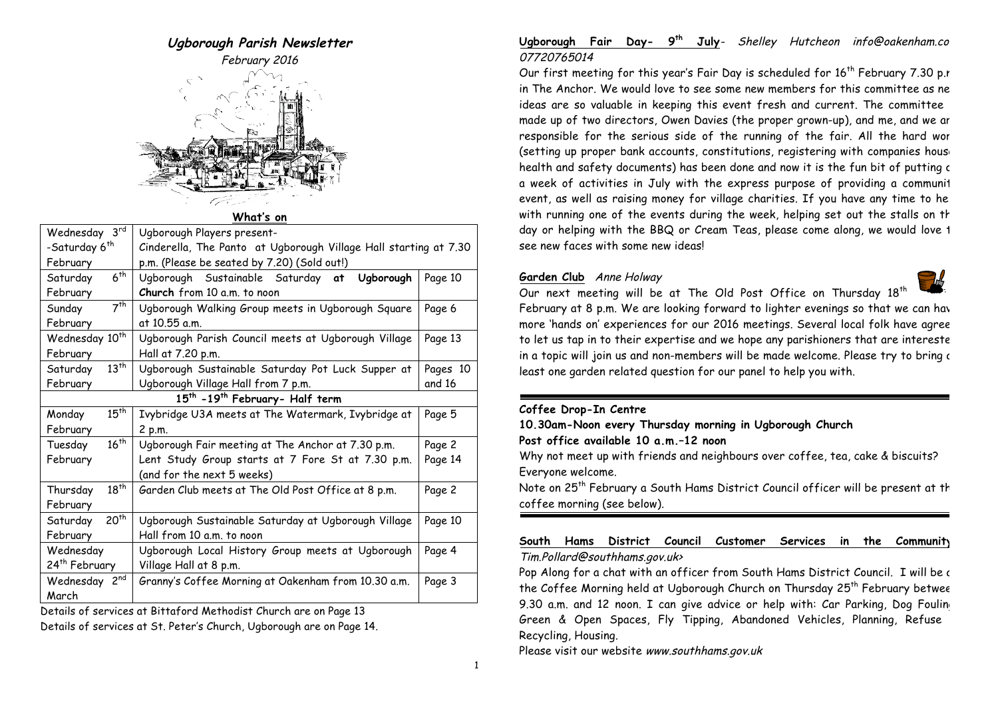# **Ugborough Parish Newsletter**

February 2016



**What's on**

| Wednesday 3rd                                          | Ugborough Players present-                                       |          |  |
|--------------------------------------------------------|------------------------------------------------------------------|----------|--|
| -Saturday 6 <sup>th</sup>                              | Cinderella, The Panto at Ugborough Village Hall starting at 7.30 |          |  |
| February                                               | p.m. (Please be seated by 7.20) (Sold out!)                      |          |  |
| 6 <sup>th</sup><br>Saturday                            | Ugborough Sustainable Saturday at Ugborough                      | Page 10  |  |
| February                                               | Church from 10 a.m. to noon                                      |          |  |
| 7 <sup>th</sup><br>Sunday                              | Ugborough Walking Group meets in Ugborough Square                | Page 6   |  |
| February                                               | at 10.55 a.m.                                                    |          |  |
| Wednesday 10 <sup>th</sup>                             | Ugborough Parish Council meets at Ugborough Village              | Page 13  |  |
| February                                               | Hall at 7.20 p.m.                                                |          |  |
| $13^{th}$<br>Saturday                                  | Ugborough Sustainable Saturday Pot Luck Supper at                | Pages 10 |  |
| February                                               | Ugborough Village Hall from 7 p.m.                               | and 16   |  |
| 15 <sup>th</sup> -19 <sup>th</sup> February- Half term |                                                                  |          |  |
| $15^{th}$<br>Monday                                    | Ivybridge U3A meets at The Watermark, Ivybridge at               | Page 5   |  |
| February                                               | 2 p.m.                                                           |          |  |
| $16^{th}$<br>Tuesday                                   | Ugborough Fair meeting at The Anchor at 7.30 p.m.                | Page 2   |  |
| February                                               | Lent Study Group starts at 7 Fore St at 7.30 p.m.                |          |  |
|                                                        | (and for the next 5 weeks)                                       |          |  |
| $18^{th}$<br>Thursday                                  | Garden Club meets at The Old Post Office at 8 p.m.               | Page 2   |  |
| February                                               |                                                                  |          |  |
| 20 <sup>th</sup><br>Saturday                           | Ugborough Sustainable Saturday at Ugborough Village              | Page 10  |  |
| February                                               | Hall from 10 a.m. to noon                                        |          |  |
| Wednesday                                              | Ugborough Local History Group meets at Ugborough                 | Page 4   |  |
| 24 <sup>th</sup> February                              | Village Hall at 8 p.m.                                           |          |  |
| Wednesday 2 <sup>nd</sup>                              | Granny's Coffee Morning at Oakenham from 10.30 a.m.              | Page 3   |  |
| March                                                  |                                                                  |          |  |
|                                                        |                                                                  |          |  |

Details of services at Bittaford Methodist Church are on Page 13

Details of services at St. Peter's Church, Ugborough are on Page 14.

# **Ugborough Fair Day- 9th July**- Shelley Hutcheon info@oakenham.com 07720765014

Our first meeting for this year's Fair Day is scheduled for  $16<sup>th</sup>$  February 7.30 p.r. in The Anchor. We would love to see some new members for this committee as new ideas are so valuable in keeping this event fresh and current. The committee made up of two directors, Owen Davies (the proper grown-up), and me, and we ar responsible for the serious side of the running of the fair. All the hard wor (setting up proper bank accounts, constitutions, registering with companies house health and safety documents) has been done and now it is the fun bit of putting c a week of activities in July with the express purpose of providing a communit event, as well as raising money for village charities. If you have any time to help with running one of the events during the week, helping set out the stalls on th day or helping with the BBQ or Cream Teas, please come along, we would love 1 see new faces with some new ideas!

# **Garden Club** Anne Holway



Our next meeting will be at The Old Post Office on Thursday  $18^{th}$ February at 8 p.m. We are looking forward to lighter evenings so that we can have more 'hands on' experiences for our 2016 meetings. Several local folk have agree to let us tap in to their expertise and we hope any parishioners that are intereste in a topic will join us and non-members will be made welcome. Please try to bring a least one garden related question for our panel to help you with.

# **Coffee Drop-In Centre**

**10.30am-Noon every Thursday morning in Ugborough Church**

**Post office available 10 a.m.–12 noon**

Why not meet up with friends and neighbours over coffee, tea, cake & biscuits? Everyone welcome.

Note on 25<sup>th</sup> February a South Hams District Council officer will be present at th coffee morning (see below).

# **South Hams District Council Customer Services in the Community:**  Tim.Pollard@southhams.gov.uk>

Pop Along for a chat with an officer from South Hams District Council. I will be a the Coffee Morning held at Ugborough Church on Thursday 25<sup>th</sup> February betwee 9.30 a.m. and 12 noon. I can give advice or help with: Car Parking, Dog Fouling Green & Open Spaces, Fly Tipping, Abandoned Vehicles, Planning, Refuse & Recycling, Housing.

Please visit our website www.southhams.gov.uk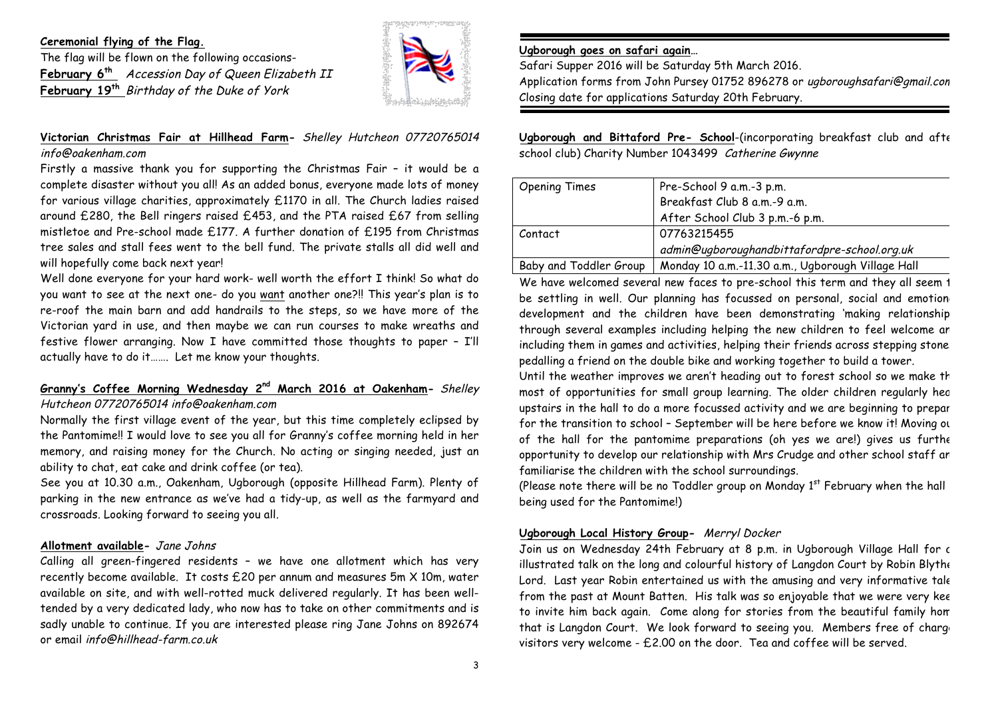#### **Ceremonial flying of the Flag.**

The flag will be flown on the following occasions-**February 6th** Accession Day of Queen Elizabeth II **February 19th** Birthday of the Duke of York



# **Victorian Christmas Fair at Hillhead Farm-** Shelley Hutcheon 07720765014 info@oakenham.com

Firstly a massive thank you for supporting the Christmas Fair – it would be a complete disaster without you all! As an added bonus, everyone made lots of money for various village charities, approximately £1170 in all. The Church ladies raised around £280, the Bell ringers raised £453, and the PTA raised £67 from selling mistletoe and Pre-school made £177. A further donation of £195 from Christmas tree sales and stall fees went to the bell fund. The private stalls all did well and will hopefully come back next year!

Well done everyone for your hard work- well worth the effort I think! So what do you want to see at the next one- do you want another one?!! This year's plan is to re-roof the main barn and add handrails to the steps, so we have more of the Victorian yard in use, and then maybe we can run courses to make wreaths and festive flower arranging. Now I have committed those thoughts to paper – I'll actually have to do it……. Let me know your thoughts.

# **Granny's Coffee Morning Wednesday 2nd March 2016 at Oakenham-** Shelley Hutcheon 07720765014 info@oakenham.com

Normally the first village event of the year, but this time completely eclipsed by the Pantomime!! I would love to see you all for Granny's coffee morning held in her memory, and raising money for the Church. No acting or singing needed, just an ability to chat, eat cake and drink coffee (or tea).

See you at 10.30 a.m., Oakenham, Ugborough (opposite Hillhead Farm). Plenty of parking in the new entrance as we've had a tidy-up, as well as the farmyard and crossroads. Looking forward to seeing you all.

## **Allotment available-** Jane Johns

Calling all green-fingered residents – we have one allotment which has very recently become available. It costs £20 per annum and measures 5m X 10m, water available on site, and with well-rotted muck delivered regularly. It has been welltended by a very dedicated lady, who now has to take on other commitments and is sadly unable to continue. If you are interested please ring Jane Johns on 892674 or email info@hillhead-farm.co.uk

### **Ugborough goes on safari again…**

Safari Supper 2016 will be Saturday 5th March 2016.

Application forms from John Pursey 01752 896278 or uaboroughsafari@gmail.com Closing date for applications Saturday 20th February.

**Ugborough and Bittaford Pre- School**-(incorporating breakfast club and after school club) Charity Number 1043499 Catherine Gwynne

| <b>Opening Times</b>   | Pre-School 9 a.m.-3 p.m.                          |
|------------------------|---------------------------------------------------|
|                        | Breakfast Club 8 a.m.-9 a.m.                      |
|                        | After School Club 3 p.m.-6 p.m.                   |
| Contact                | 07763215455                                       |
|                        | admin@uqborouqhandbittafordpre-school.org.uk      |
| Baby and Toddler Group | Monday 10 a.m.-11.30 a.m., Ugborough Village Hall |

We have welcomed several new faces to pre-school this term and they all seem 1 be settling in well. Our planning has focussed on personal, social and emotion development and the children have been demonstrating 'making relationship through several examples including helping the new children to feel welcome an including them in games and activities, helping their friends across stepping stone. pedalling a friend on the double bike and working together to build a tower.

Until the weather improves we aren't heading out to forest school so we make th most of opportunities for small group learning. The older children regularly head upstairs in the hall to do a more focussed activity and we are beginning to prepar for the transition to school - September will be here before we know it! Moving ou of the hall for the pantomime preparations (oh yes we are!) gives us further opportunity to develop our relationship with Mrs Crudge and other school staff an familiarise the children with the school surroundings.

(Please note there will be no Toddler group on Monday  $1<sup>st</sup>$  February when the hall being used for the Pantomime!)

# **Ugborough Local History Group-** Merryl Docker

Join us on Wednesday 24th February at 8 p.m. in Ugborough Village Hall for c illustrated talk on the long and colourful history of Langdon Court by Robin Blythe-Lord. Last year Robin entertained us with the amusing and very informative tale from the past at Mount Batten. His talk was so enjoyable that we were very kee to invite him back again. Come along for stories from the beautiful family home that is Langdon Court. We look forward to seeing you. Members free of charge visitors very welcome - £2.00 on the door. Tea and coffee will be served.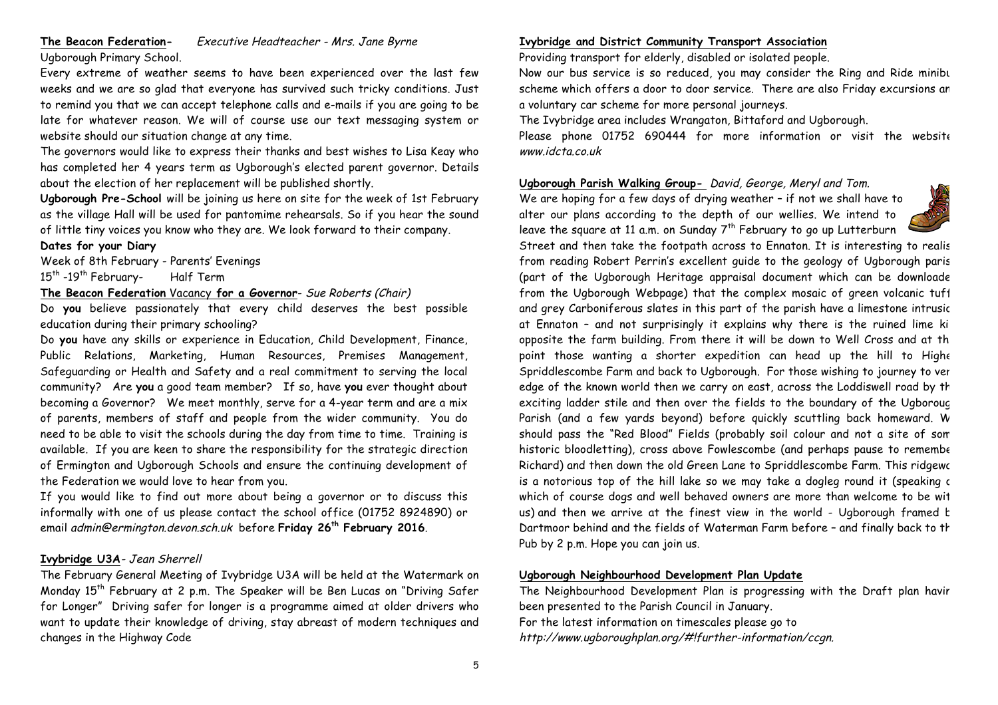# **The Beacon Federation-** Executive Headteacher - Mrs. Jane Byrne

Ugborough Primary School.

Every extreme of weather seems to have been experienced over the last few weeks and we are so glad that everyone has survived such tricky conditions. Just to remind you that we can accept telephone calls and e-mails if you are going to be late for whatever reason. We will of course use our text messaging system or website should our situation change at any time.

The governors would like to express their thanks and best wishes to Lisa Keay who has completed her 4 years term as Ugborough's elected parent governor. Details about the election of her replacement will be published shortly.

**Ugborough Pre-School** will be joining us here on site for the week of 1st February as the village Hall will be used for pantomime rehearsals. So if you hear the sound of little tiny voices you know who they are. We look forward to their company.

#### **Dates for your Diary**

Week of 8th February - Parents' Evenings

15<sup>th</sup> -19<sup>th</sup> February- Half Term

### **The Beacon Federation** Vacancy **for a Governor**- Sue Roberts (Chair)

Do **you** believe passionately that every child deserves the best possible education during their primary schooling?

Do **you** have any skills or experience in Education, Child Development, Finance, Public Relations, Marketing, Human Resources, Premises Management, Safeguarding or Health and Safety and a real commitment to serving the local community? Are **you** a good team member? If so, have **you** ever thought about becoming a Governor? We meet monthly, serve for a 4-year term and are a mix of parents, members of staff and people from the wider community. You do need to be able to visit the schools during the day from time to time. Training is available. If you are keen to share the responsibility for the strategic direction of Ermington and Ugborough Schools and ensure the continuing development of the Federation we would love to hear from you.

If you would like to find out more about being a governor or to discuss this informally with one of us please contact the school office (01752 8924890) or email admin@ermington.devon.sch.uk before **Friday 26th February 2016**.

## **Ivybridge U3A**- Jean Sherrell

The February General Meeting of Ivybridge U3A will be held at the Watermark on Monday 15<sup>th</sup> February at 2 p.m. The Speaker will be Ben Lucas on "Driving Safer for Longer" Driving safer for longer is a programme aimed at older drivers who want to update their knowledge of driving, stay abreast of modern techniques and changes in the Highway Code

## **Ivybridge and District Community Transport Association**

Providing transport for elderly, disabled or isolated people.

Now our bus service is so reduced, you may consider the Ring and Ride minibu scheme which offers a door to door service. There are also Friday excursions an a voluntary car scheme for more personal journeys.

The Ivybridge area includes Wrangaton, Bittaford and Ugborough.

Please phone 01752 690444 for more information or visit the website www.idcta.co.uk

# **Ugborough Parish Walking Group-** David, George, Meryl and Tom.

We are hoping for a few days of drying weather – if not we shall have to alter our plans according to the depth of our wellies. We intend to leave the square at 11 a.m. on Sunday  $7<sup>th</sup>$  February to go up Lutterburn

Street and then take the footpath across to Ennaton. It is interesting to realis from reading Robert Perrin's excellent guide to the geology of Ugborough paris (part of the Ugborough Heritage appraisal document which can be downloade from the Ugborough Webpage) that the complex mosaic of green volcanic tuff and grey Carboniferous slates in this part of the parish have a limestone intrusic at Ennaton - and not surprisingly it explains why there is the ruined lime ki opposite the farm building. From there it will be down to Well Cross and at th point those wanting a shorter expedition can head up the hill to Highe Spriddlescombe Farm and back to Ugborough. For those wishing to journey to very edge of the known world then we carry on east, across the Loddiswell road by th exciting ladder stile and then over the fields to the boundary of the Ugborough Parish (and a few yards beyond) before quickly scuttling back homeward. W should pass the "Red Blood" Fields (probably soil colour and not a site of some historic bloodletting), cross above Fowlescombe (and perhaps pause to remembe Richard) and then down the old Green Lane to Spriddlescombe Farm. This ridgeway is a notorious top of the hill lake so we may take a dogleg round it (speaking c which of course dogs and well behaved owners are more than welcome to be with us) and then we arrive at the finest view in the world - Ugborough framed t Dartmoor behind and the fields of Waterman Farm before - and finally back to the Pub by 2 p.m. Hope you can join us.

## **Ugborough Neighbourhood Development Plan Update**

The Neighbourhood Development Plan is progressing with the Draft plan havir been presented to the Parish Council in January. For the latest information on timescales please go to http://www.ugboroughplan.org/#!further-information/ccgn.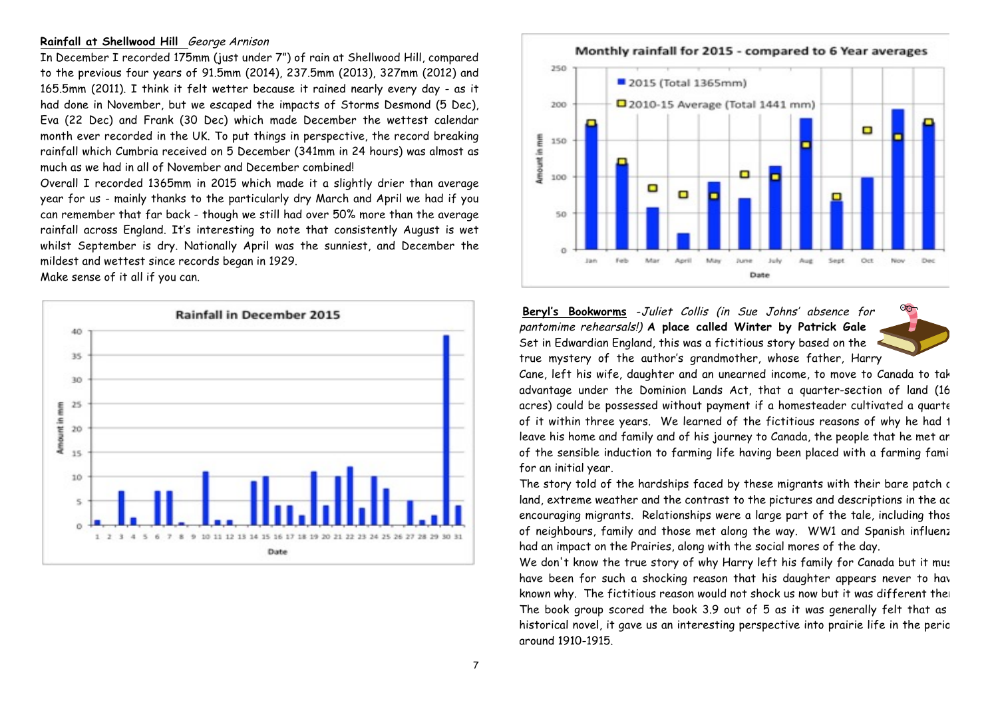#### **Rainfall at Shellwood Hill** George Arnison

In December I recorded 175mm (just under 7") of rain at Shellwood Hill, compared to the previous four years of 91.5mm (2014), 237.5mm (2013), 327mm (2012) and 165.5mm (2011). I think it felt wetter because it rained nearly every day - as it had done in November, but we escaped the impacts of Storms Desmond (5 Dec), Eva (22 Dec) and Frank (30 Dec) which made December the wettest calendar month ever recorded in the UK. To put things in perspective, the record breaking rainfall which Cumbria received on 5 December (341mm in 24 hours) was almost as much as we had in all of November and December combined!

Overall I recorded 1365mm in 2015 which made it a slightly drier than average year for us - mainly thanks to the particularly dry March and April we had if you can remember that far back - though we still had over 50% more than the average rainfall across England. It's interesting to note that consistently August is wet whilst September is dry. Nationally April was the sunniest, and December the mildest and wettest since records began in 1929.

Make sense of it all if you can.





**Beryl's Bookworms** -Juliet Collis (in Sue Johns' absence for pantomime rehearsals!) **A place called Winter by Patrick Gale**  Set in Edwardian England, this was a fictitious story based on the true mystery of the author's grandmother, whose father, Harry



Cane, left his wife, daughter and an unearned income, to move to Canada to tak advantage under the Dominion Lands Act, that a quarter-section of land (16 acres) could be possessed without payment if a homesteader cultivated a quarte of it within three years. We learned of the fictitious reasons of why he had t leave his home and family and of his journey to Canada, the people that he met an of the sensible induction to farming life having been placed with a farming fami for an initial year.

The story told of the hardships faced by these migrants with their bare patch c land, extreme weather and the contrast to the pictures and descriptions in the ac encouraging migrants. Relationships were a large part of the tale, including thos of neighbours, family and those met along the way. WW1 and Spanish influenz had an impact on the Prairies, along with the social mores of the day.

We don't know the true story of why Harry left his family for Canada but it must have been for such a shocking reason that his daughter appears never to have known why. The fictitious reason would not shock us now but it was different the The book group scored the book  $3.9$  out of  $5$  as it was generally felt that as historical novel, it gave us an interesting perspective into prairie life in the perio around 1910-1915.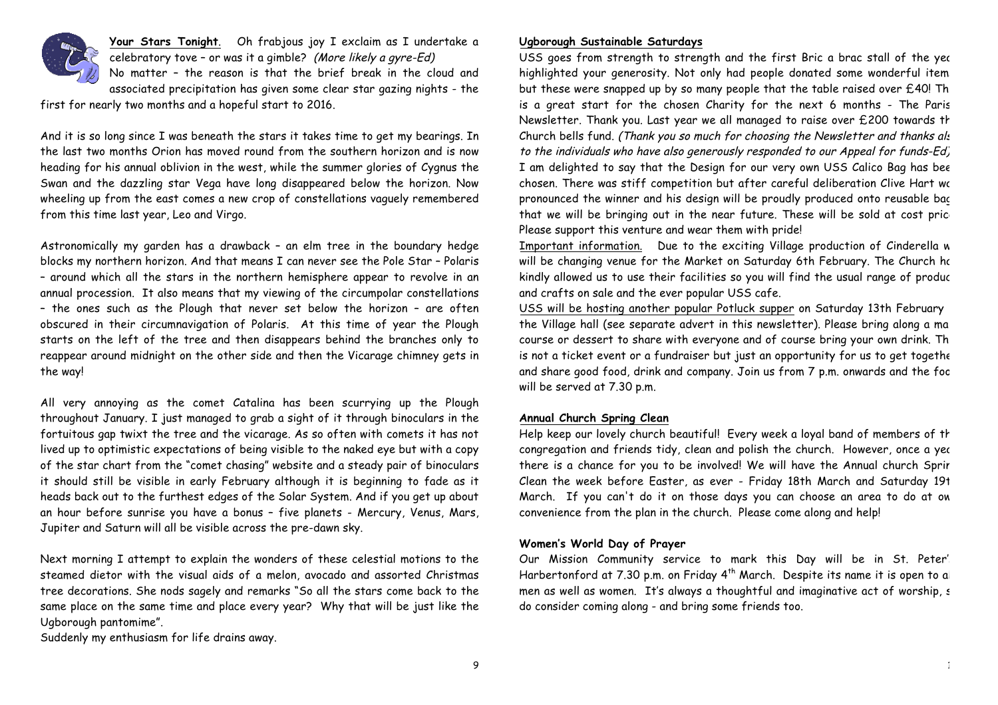

**Your Stars Tonight**. Oh frabjous joy I exclaim as I undertake a celebratory tove – or was it a gimble? (More likely a gyre-Ed) No matter – the reason is that the brief break in the cloud and associated precipitation has given some clear star gazing nights - the

first for nearly two months and a hopeful start to 2016.

And it is so long since I was beneath the stars it takes time to get my bearings. In the last two months Orion has moved round from the southern horizon and is now heading for his annual oblivion in the west, while the summer glories of Cygnus the Swan and the dazzling star Vega have long disappeared below the horizon. Now wheeling up from the east comes a new crop of constellations vaguely remembered from this time last year, Leo and Virgo.

Astronomically my garden has a drawback – an elm tree in the boundary hedge blocks my northern horizon. And that means I can never see the Pole Star – Polaris – around which all the stars in the northern hemisphere appear to revolve in an annual procession. It also means that my viewing of the circumpolar constellations – the ones such as the Plough that never set below the horizon – are often obscured in their circumnavigation of Polaris. At this time of year the Plough starts on the left of the tree and then disappears behind the branches only to reappear around midnight on the other side and then the Vicarage chimney gets in the way!

All very annoying as the comet Catalina has been scurrying up the Plough throughout January. I just managed to grab a sight of it through binoculars in the fortuitous gap twixt the tree and the vicarage. As so often with comets it has not lived up to optimistic expectations of being visible to the naked eye but with a copy of the star chart from the "comet chasing" website and a steady pair of binoculars it should still be visible in early February although it is beginning to fade as it heads back out to the furthest edges of the Solar System. And if you get up about an hour before sunrise you have a bonus – five planets - Mercury, Venus, Mars, Jupiter and Saturn will all be visible across the pre-dawn sky.

Next morning I attempt to explain the wonders of these celestial motions to the steamed dietor with the visual aids of a melon, avocado and assorted Christmas tree decorations. She nods sagely and remarks "So all the stars come back to the same place on the same time and place every year? Why that will be just like the Ugborough pantomime".

Suddenly my enthusiasm for life drains away.

#### **Ugborough Sustainable Saturdays**

USS goes from strength to strength and the first Bric a brac stall of the yed highlighted your generosity. Not only had people donated some wonderful item but these were snapped up by so many people that the table raised over  $£40!$  Th is a great start for the chosen Charity for the next 6 months - The Parish Newsletter. Thank you. Last year we all managed to raise over £200 towards th Church bells fund. (Thank you so much for choosing the Newsletter and thanks also to the individuals who have also generously responded to our Appeal for funds-Ed) I am delighted to say that the Design for our very own USS Calico Bag has bee chosen. There was stiff competition but after careful deliberation Clive Hart we pronounced the winner and his design will be proudly produced onto reusable bac that we will be bringing out in the near future. These will be sold at cost price Please support this venture and wear them with pride!

Important information. Due to the exciting Village production of Cinderella w will be changing venue for the Market on Saturday 6th February. The Church ho kindly allowed us to use their facilities so you will find the usual range of produce and crafts on sale and the ever popular USS cafe.

USS will be hosting another popular Potluck supper on Saturday 13th February the Village hall (see separate advert in this newsletter). Please bring along a main course or dessert to share with everyone and of course bring your own drink. Th is not a ticket event or a fundraiser but just an opportunity for us to get togethe and share good food, drink and company. Join us from 7 p.m. onwards and the food will be served at 7.30 p.m.

#### **Annual Church Spring Clean**

Help keep our lovely church beautiful! Every week a loyal band of members of the congregation and friends tidy, clean and polish the church. However, once a yec there is a chance for you to be involved! We will have the Annual church Sprir Clean the week before Easter, as ever - Friday 18th March and Saturday 19t March. If you can't do it on those days you can choose an area to do at own convenience from the plan in the church. Please come along and help!

#### **Women's World Day of Prayer**

Our Mission Community service to mark this Day will be in St. Peter's Harbertonford at 7.30 p.m. on Friday  $4<sup>th</sup>$  March. Despite its name it is open to all men as well as women. It's always a thoughtful and imaginative act of worship, s do consider coming along - and bring some friends too.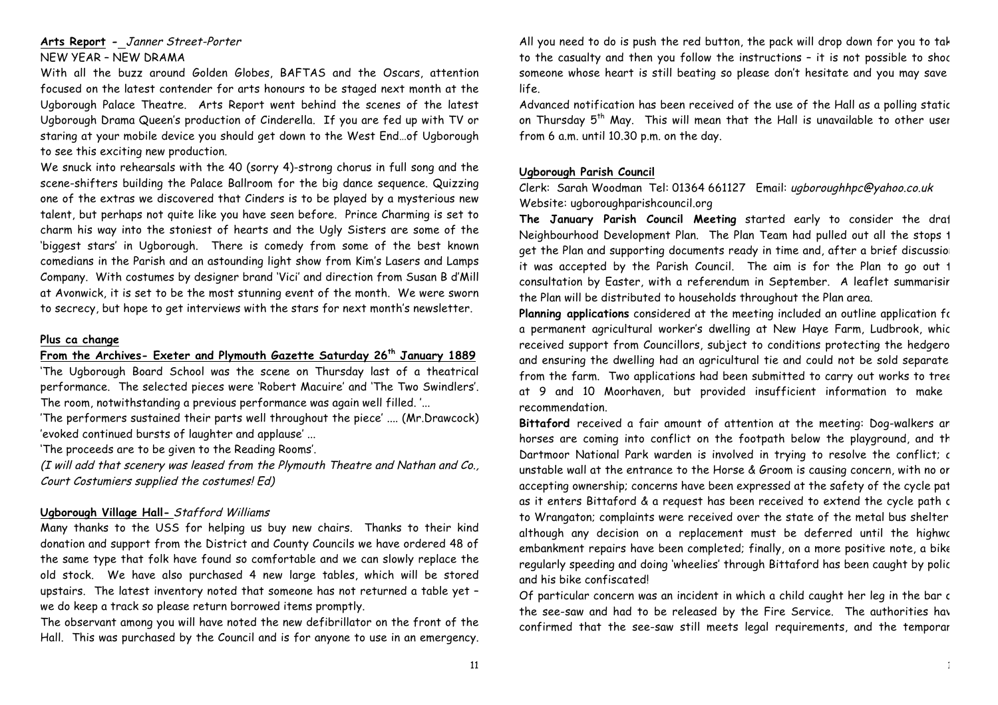# **Arts Report -** Janner Street-Porter

## NEW YEAR – NEW DRAMA

With all the buzz around Golden Globes, BAFTAS and the Oscars, attention focused on the latest contender for arts honours to be staged next month at the Ugborough Palace Theatre. Arts Report went behind the scenes of the latest Ugborough Drama Queen's production of Cinderella. If you are fed up with TV or staring at your mobile device you should get down to the West End…of Ugborough to see this exciting new production.

We snuck into rehearsals with the 40 (sorry 4)-strong chorus in full song and the scene-shifters building the Palace Ballroom for the big dance sequence. Quizzing one of the extras we discovered that Cinders is to be played by a mysterious new talent, but perhaps not quite like you have seen before. Prince Charming is set to charm his way into the stoniest of hearts and the Ugly Sisters are some of the 'biggest stars' in Ugborough. There is comedy from some of the best known comedians in the Parish and an astounding light show from Kim's Lasers and Lamps Company. With costumes by designer brand 'Vici' and direction from Susan B d'Mill at Avonwick, it is set to be the most stunning event of the month. We were sworn to secrecy, but hope to get interviews with the stars for next month's newsletter.

#### **Plus ca change**

#### **From the Archives- Exeter and Plymouth Gazette Saturday 26th January 1889**

'The Ugborough Board School was the scene on Thursday last of a theatrical performance. The selected pieces were 'Robert Macuire' and 'The Two Swindlers'. The room, notwithstanding a previous performance was again well filled. '...

'The performers sustained their parts well throughout the piece' .... (Mr.Drawcock) 'evoked continued bursts of laughter and applause' ...

'The proceeds are to be given to the Reading Rooms'.

(I will add that scenery was leased from the Plymouth Theatre and Nathan and Co., Court Costumiers supplied the costumes! Ed)

#### **Ugborough Village Hall-** Stafford Williams

Many thanks to the USS for helping us buy new chairs. Thanks to their kind donation and support from the District and County Councils we have ordered 48 of the same type that folk have found so comfortable and we can slowly replace the old stock. We have also purchased 4 new large tables, which will be stored upstairs. The latest inventory noted that someone has not returned a table yet – we do keep a track so please return borrowed items promptly.

The observant among you will have noted the new defibrillator on the front of the Hall. This was purchased by the Council and is for anyone to use in an emergency. All you need to do is push the red button, the pack will drop down for you to take to the casualty and then you follow the instructions – it is not possible to shock someone whose heart is still beating so please don't hesitate and you may save life.

Advanced notification has been received of the use of the Hall as a polling static on Thursday  $5<sup>th</sup>$  May. This will mean that the Hall is unavailable to other user from 6 a.m. until 10.30 p.m. on the day.

#### **Ugborough Parish Council**

Clerk: Sarah Woodman Tel: 01364 661127 Email: ugboroughhpc@yahoo.co.uk Website: ugboroughparishcouncil.org

The January Parish Council Meeting started early to consider the draft Neighbourhood Development Plan. The Plan Team had pulled out all the stops 1 get the Plan and supporting documents ready in time and, after a brief discussion it was accepted by the Parish Council. The aim is for the Plan to go out 1 consultation by Easter, with a referendum in September. A leaflet summarisir the Plan will be distributed to households throughout the Plan area.

**Planning applications** considered at the meeting included an outline application for a permanent agricultural worker's dwelling at New Haye Farm, Ludbrook, which received support from Councillors, subject to conditions protecting the hedgero and ensuring the dwelling had an agricultural tie and could not be sold separate from the farm. Two applications had been submitted to carry out works to tree at 9 and 10 Moorhaven, but provided insufficient information to make recommendation.

Bittaford received a fair amount of attention at the meeting: Dog-walkers an horses are coming into conflict on the footpath below the playground, and the Dartmoor National Park warden is involved in trying to resolve the conflict; c unstable wall at the entrance to the Horse & Groom is causing concern, with no or accepting ownership; concerns have been expressed at the safety of the cycle path as it enters Bittaford & a request has been received to extend the cycle path c to Wrangaton; complaints were received over the state of the metal bus shelter – although any decision on a replacement must be deferred until the highwe embankment repairs have been completed; finally, on a more positive note, a bike regularly speeding and doing 'wheelies' through Bittaford has been caught by police and his bike confiscated!

Of particular concern was an incident in which a child caught her leg in the bar c the see-saw and had to be released by the Fire Service. The authorities have confirmed that the see-saw still meets legal requirements, and the temporar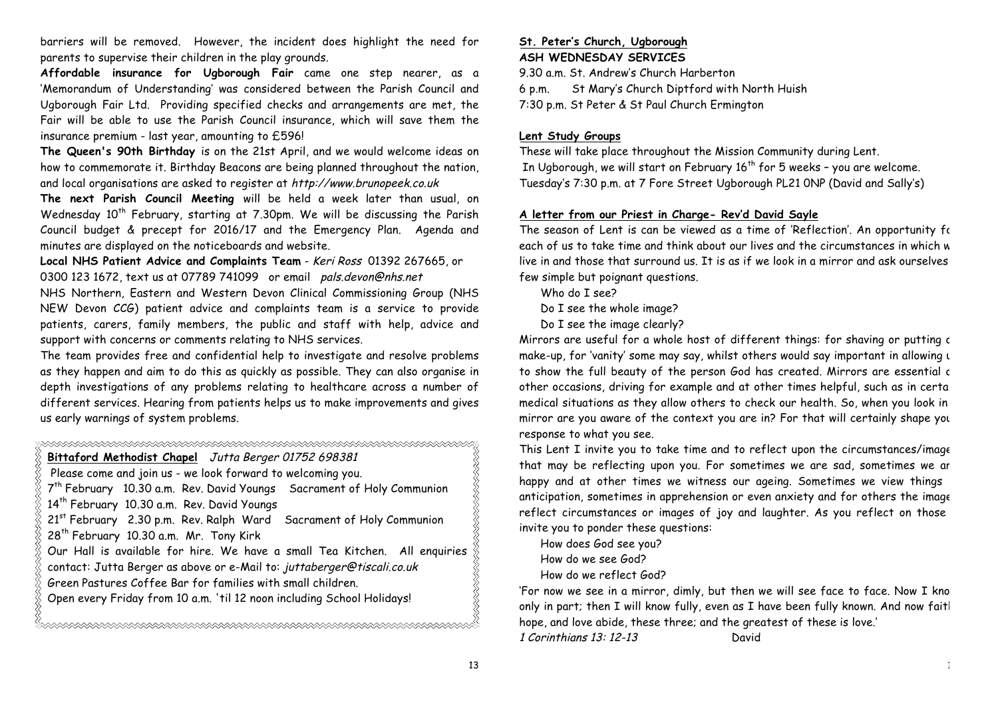barriers will be removed. However, the incident does highlight the need for parents to supervise their children in the play grounds.

**Affordable insurance for Ugborough Fair** came one step nearer, as a 'Memorandum of Understanding' was considered between the Parish Council and Ugborough Fair Ltd. Providing specified checks and arrangements are met, the Fair will be able to use the Parish Council insurance, which will save them the insurance premium - last year, amounting to £596!

**The Queen's 90th Birthday** is on the 21st April, and we would welcome ideas on how to commemorate it. Birthday Beacons are being planned throughout the nation, and local organisations are asked to register at http://www.brunopeek.co.uk

**The next Parish Council Meeting** will be held a week later than usual, on Wednesday 10<sup>th</sup> February, starting at 7.30pm. We will be discussing the Parish Council budget & precept for 2016/17 and the Emergency Plan. Agenda and minutes are displayed on the noticeboards and website.

**Local NHS Patient Advice and Complaints Team** - Keri Ross 01392 267665, or 0300 123 1672, text us at 07789 741099 or email pals.devon@nhs.net

NHS Northern, Eastern and Western Devon Clinical Commissioning Group (NHS NEW Devon CCG) patient advice and complaints team is a service to provide patients, carers, family members, the public and staff with help, advice and support with concerns or comments relating to NHS services.

The team provides free and confidential help to investigate and resolve problems as they happen and aim to do this as quickly as possible. They can also organise in depth investigations of any problems relating to healthcare across a number of different services. Hearing from patients helps us to make improvements and gives us early warnings of system problems.

| Bittaford Methodist Chapel Jutta Berger 01752 698381                              |  |  |  |  |
|-----------------------------------------------------------------------------------|--|--|--|--|
| Please come and join us - we look forward to welcoming you.                       |  |  |  |  |
| 7 <sup>th</sup> February 10.30 a.m. Rev. David Youngs Sacrament of Holy Communion |  |  |  |  |
| 14 <sup>th</sup> February 10.30 a.m. Rev. David Youngs                            |  |  |  |  |
| 21st February 2.30 p.m. Rev. Ralph Ward Sacrament of Holy Communion               |  |  |  |  |
| 28 <sup>th</sup> February 10.30 a.m. Mr. Tony Kirk                                |  |  |  |  |
| Our Hall is available for hire. We have a small Tea Kitchen. All enquiries        |  |  |  |  |
| contact: Jutta Berger as above or e-Mail to: juttaberger@tiscali.co.uk            |  |  |  |  |
| Green Pastures Coffee Bar for families with small children.                       |  |  |  |  |
| Open every Friday from 10 a.m. 'til 12 noon including School Holidays!            |  |  |  |  |
|                                                                                   |  |  |  |  |

#### **St. Peter's Church, Ugborough ASH WEDNESDAY SERVICES**

9.30 a.m. St. Andrew's Church Harberton

6 p.m. St Mary's Church Diptford with North Huish

7:30 p.m. St Peter & St Paul Church Ermington

# **Lent Study Groups**

These will take place throughout the Mission Community during Lent. In Ugborough, we will start on February  $16<sup>th</sup>$  for 5 weeks - you are welcome. Tuesday's 7:30 p.m. at 7 Fore Street Ugborough PL21 0NP (David and Sally's)

# **A letter from our Priest in Charge- Rev'd David Sayle**

The season of Lent is can be viewed as a time of 'Reflection'. An opportunity for each of us to take time and think about our lives and the circumstances in which w live in and those that surround us. It is as if we look in a mirror and ask ourselves a few simple but poignant questions.

Who do I see?

Do I see the whole image?

Do I see the image clearly?

Mirrors are useful for a whole host of different things: for shaving or putting c make-up, for 'vanity' some may say, whilst others would say important in allowing u to show the full beauty of the person God has created. Mirrors are essential c other occasions, driving for example and at other times helpful, such as in certa medical situations as they allow others to check our health. So, when you look in a mirror are you aware of the context you are in? For that will certainly shape your response to what you see.

This Lent I invite you to take time and to reflect upon the circumstances/image that may be reflecting upon you. For sometimes we are sad, sometimes we ar happy and at other times we witness our ageing. Sometimes we view things anticipation, sometimes in apprehension or even anxiety and for others the image reflect circumstances or images of joy and laughter. As you reflect on those invite you to ponder these questions:

How does God see you? How do we see God? How do we reflect God?

'For now we see in a mirror, dimly, but then we will see face to face. Now I kno only in part; then I will know fully, even as I have been fully known. And now faitl hope, and love abide, these three; and the greatest of these is love.'

1 Corinthians 13: 12-13 David